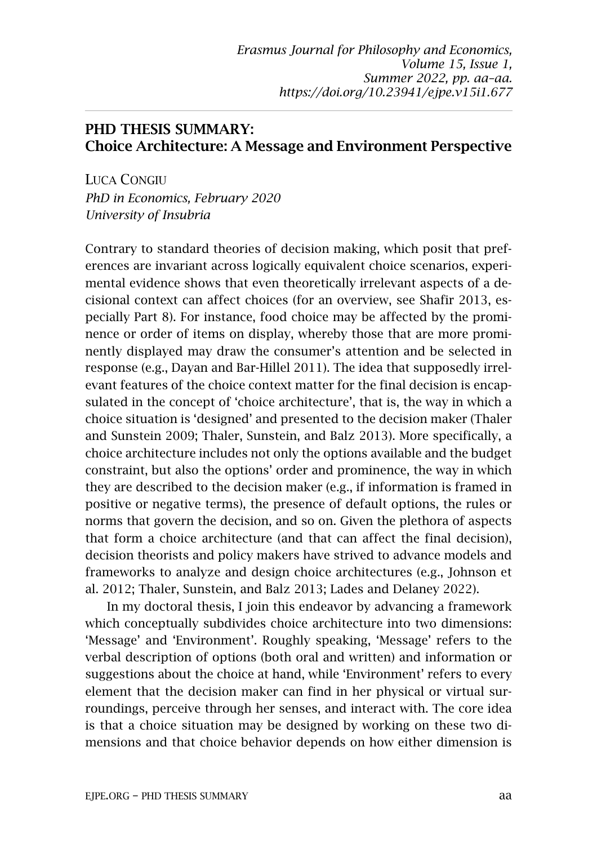## PHD THESIS SUMMARY: Choice Architecture: A Message and Environment Perspective

LUCA CONGIU *PhD in Economics, February 2020 University of Insubria*

Contrary to standard theories of decision making, which posit that preferences are invariant across logically equivalent choice scenarios, experimental evidence shows that even theoretically irrelevant aspects of a decisional context can affect choices (for an overview, see Shafir 2013, especially Part 8). For instance, food choice may be affected by the prominence or order of items on display, whereby those that are more prominently displayed may draw the consumer's attention and be selected in response (e.g., Dayan and Bar-Hillel 2011). The idea that supposedly irrelevant features of the choice context matter for the final decision is encapsulated in the concept of 'choice architecture', that is, the way in which a choice situation is 'designed' and presented to the decision maker (Thaler and Sunstein 2009; Thaler, Sunstein, and Balz 2013). More specifically, a choice architecture includes not only the options available and the budget constraint, but also the options' order and prominence, the way in which they are described to the decision maker (e.g., if information is framed in positive or negative terms), the presence of default options, the rules or norms that govern the decision, and so on. Given the plethora of aspects that form a choice architecture (and that can affect the final decision), decision theorists and policy makers have strived to advance models and frameworks to analyze and design choice architectures (e.g., Johnson et al. 2012; Thaler, Sunstein, and Balz 2013; Lades and Delaney 2022).

In my doctoral thesis, I join this endeavor by advancing a framework which conceptually subdivides choice architecture into two dimensions: 'Message' and 'Environment'. Roughly speaking, 'Message' refers to the verbal description of options (both oral and written) and information or suggestions about the choice at hand, while 'Environment' refers to every element that the decision maker can find in her physical or virtual surroundings, perceive through her senses, and interact with. The core idea is that a choice situation may be designed by working on these two dimensions and that choice behavior depends on how either dimension is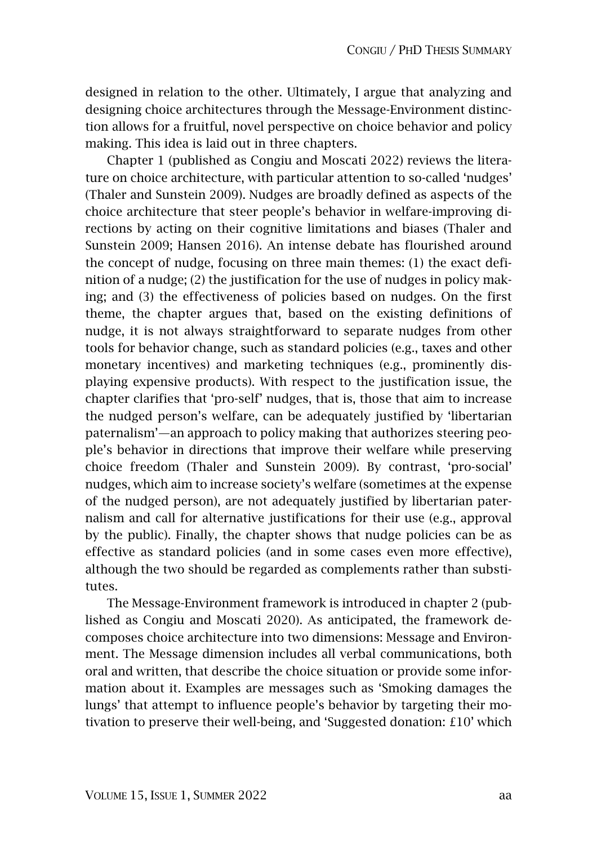designed in relation to the other. Ultimately, I argue that analyzing and designing choice architectures through the Message-Environment distinction allows for a fruitful, novel perspective on choice behavior and policy making. This idea is laid out in three chapters.

Chapter 1 (published as Congiu and Moscati 2022) reviews the literature on choice architecture, with particular attention to so-called 'nudges' (Thaler and Sunstein 2009). Nudges are broadly defined as aspects of the choice architecture that steer people's behavior in welfare-improving directions by acting on their cognitive limitations and biases (Thaler and Sunstein 2009; Hansen 2016). An intense debate has flourished around the concept of nudge, focusing on three main themes: (1) the exact definition of a nudge; (2) the justification for the use of nudges in policy making; and (3) the effectiveness of policies based on nudges. On the first theme, the chapter argues that, based on the existing definitions of nudge, it is not always straightforward to separate nudges from other tools for behavior change, such as standard policies (e.g., taxes and other monetary incentives) and marketing techniques (e.g., prominently displaying expensive products). With respect to the justification issue, the chapter clarifies that 'pro-self' nudges, that is, those that aim to increase the nudged person's welfare, can be adequately justified by 'libertarian paternalism'—an approach to policy making that authorizes steering people's behavior in directions that improve their welfare while preserving choice freedom (Thaler and Sunstein 2009). By contrast, 'pro-social' nudges, which aim to increase society's welfare (sometimes at the expense of the nudged person), are not adequately justified by libertarian paternalism and call for alternative justifications for their use (e.g., approval by the public). Finally, the chapter shows that nudge policies can be as effective as standard policies (and in some cases even more effective), although the two should be regarded as complements rather than substitutes.

The Message-Environment framework is introduced in chapter 2 (published as Congiu and Moscati 2020). As anticipated, the framework decomposes choice architecture into two dimensions: Message and Environment. The Message dimension includes all verbal communications, both oral and written, that describe the choice situation or provide some information about it. Examples are messages such as 'Smoking damages the lungs' that attempt to influence people's behavior by targeting their motivation to preserve their well-being, and 'Suggested donation: £10' which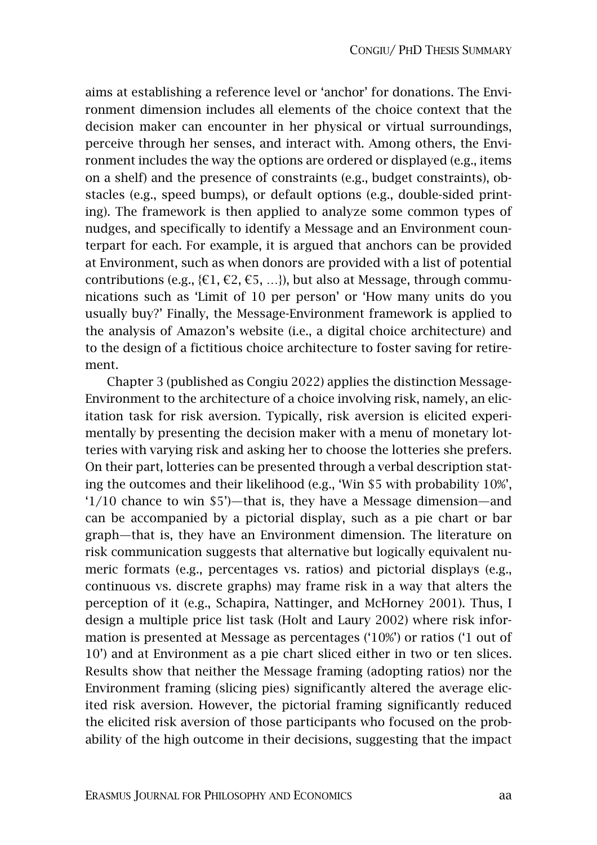aims at establishing a reference level or 'anchor' for donations. The Environment dimension includes all elements of the choice context that the decision maker can encounter in her physical or virtual surroundings, perceive through her senses, and interact with. Among others, the Environment includes the way the options are ordered or displayed (e.g., items on a shelf) and the presence of constraints (e.g., budget constraints), obstacles (e.g., speed bumps), or default options (e.g., double-sided printing). The framework is then applied to analyze some common types of nudges, and specifically to identify a Message and an Environment counterpart for each. For example, it is argued that anchors can be provided at Environment, such as when donors are provided with a list of potential contributions (e.g., { $\epsilon$ 1,  $\epsilon$ 2,  $\epsilon$ 5, ...}), but also at Message, through communications such as 'Limit of 10 per person' or 'How many units do you usually buy?' Finally, the Message-Environment framework is applied to the analysis of Amazon's website (i.e., a digital choice architecture) and to the design of a fictitious choice architecture to foster saving for retirement.

Chapter 3 (published as Congiu 2022) applies the distinction Message-Environment to the architecture of a choice involving risk, namely, an elicitation task for risk aversion. Typically, risk aversion is elicited experimentally by presenting the decision maker with a menu of monetary lotteries with varying risk and asking her to choose the lotteries she prefers. On their part, lotteries can be presented through a verbal description stating the outcomes and their likelihood (e.g., 'Win \$5 with probability 10%', '1/10 chance to win \$5')—that is, they have a Message dimension—and can be accompanied by a pictorial display, such as a pie chart or bar graph—that is, they have an Environment dimension. The literature on risk communication suggests that alternative but logically equivalent numeric formats (e.g., percentages vs. ratios) and pictorial displays (e.g., continuous vs. discrete graphs) may frame risk in a way that alters the perception of it (e.g., Schapira, Nattinger, and McHorney 2001). Thus, I design a multiple price list task (Holt and Laury 2002) where risk information is presented at Message as percentages ('10%') or ratios ('1 out of 10') and at Environment as a pie chart sliced either in two or ten slices. Results show that neither the Message framing (adopting ratios) nor the Environment framing (slicing pies) significantly altered the average elicited risk aversion. However, the pictorial framing significantly reduced the elicited risk aversion of those participants who focused on the probability of the high outcome in their decisions, suggesting that the impact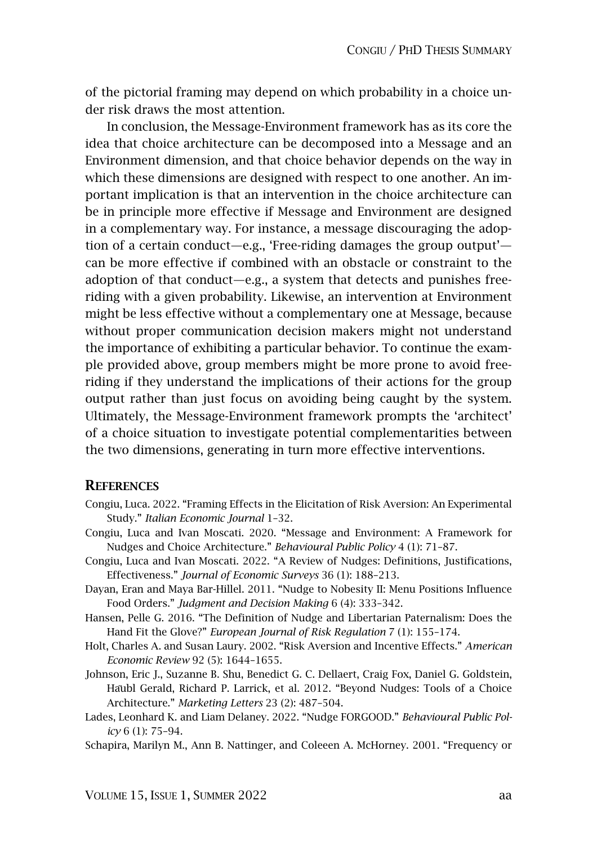of the pictorial framing may depend on which probability in a choice under risk draws the most attention.

In conclusion, the Message-Environment framework has as its core the idea that choice architecture can be decomposed into a Message and an Environment dimension, and that choice behavior depends on the way in which these dimensions are designed with respect to one another. An important implication is that an intervention in the choice architecture can be in principle more effective if Message and Environment are designed in a complementary way. For instance, a message discouraging the adoption of a certain conduct—e.g., 'Free-riding damages the group output' can be more effective if combined with an obstacle or constraint to the adoption of that conduct—e.g., a system that detects and punishes freeriding with a given probability. Likewise, an intervention at Environment might be less effective without a complementary one at Message, because without proper communication decision makers might not understand the importance of exhibiting a particular behavior. To continue the example provided above, group members might be more prone to avoid freeriding if they understand the implications of their actions for the group output rather than just focus on avoiding being caught by the system. Ultimately, the Message-Environment framework prompts the 'architect' of a choice situation to investigate potential complementarities between the two dimensions, generating in turn more effective interventions.

## **REFERENCES**

- Congiu, Luca. 2022. "Framing Effects in the Elicitation of Risk Aversion: An Experimental Study." *Italian Economic Journal* 1–32.
- Congiu, Luca and Ivan Moscati. 2020. "Message and Environment: A Framework for Nudges and Choice Architecture." *Behavioural Public Policy* 4 (1): 71–87.
- Congiu, Luca and Ivan Moscati. 2022. "A Review of Nudges: Definitions, Justifications, Effectiveness." *Journal of Economic Surveys* 36 (1): 188–213.
- Dayan, Eran and Maya Bar-Hillel. 2011. "Nudge to Nobesity II: Menu Positions Influence Food Orders." *Judgment and Decision Making* 6 (4): 333–342.
- Hansen, Pelle G. 2016. "The Definition of Nudge and Libertarian Paternalism: Does the Hand Fit the Glove?" *European Journal of Risk Regulation* 7 (1): 155–174.
- Holt, Charles A. and Susan Laury. 2002. "Risk Aversion and Incentive Effects." *American Economic Review* 92 (5): 1644–1655.
- Johnson, Eric J., Suzanne B. Shu, Benedict G. C. Dellaert, Craig Fox, Daniel G. Goldstein, Häubl Gerald, Richard P. Larrick, et al. 2012. "Beyond Nudges: Tools of a Choice Architecture." *Marketing Letters* 23 (2): 487–504.
- Lades, Leonhard K. and Liam Delaney. 2022. "Nudge FORGOOD." *Behavioural Public Policy* 6 (1): 75–94.
- Schapira, Marilyn M., Ann B. Nattinger, and Coleeen A. McHorney. 2001. "Frequency or